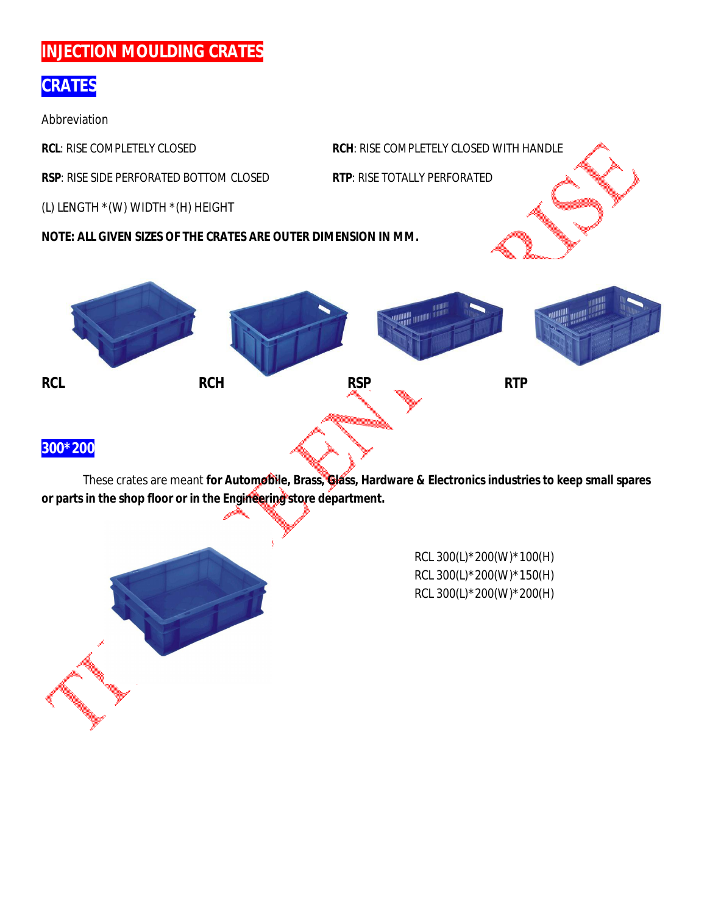# **INJECTION MOULDING CRATES**

## **CRATES**

Abbreviation

**RCL**: RISE COMPLETELY CLOSED **RCH**: RISE COMPLETELY CLOSED WITH HANDLE

**RSP**: RISE SIDE PERFORATED BOTTOM CLOSED **RTP**: RISE TOTALLY PERFORATED

(L) LENGTH \*(W) WIDTH \*(H) HEIGHT

**NOTE: ALL GIVEN SIZES OF THE CRATES ARE OUTER DIMENSION IN MM.**



These crates are meant **for Automobile, Brass, Glass, Hardware & Electronics industries to keep small spares or parts in the shop floor or in the Engineering store department.**



RCL 300(L)\*200(W)\*100(H) RCL 300(L)\*200(W)\*150(H) RCL 300(L)\*200(W)\*200(H)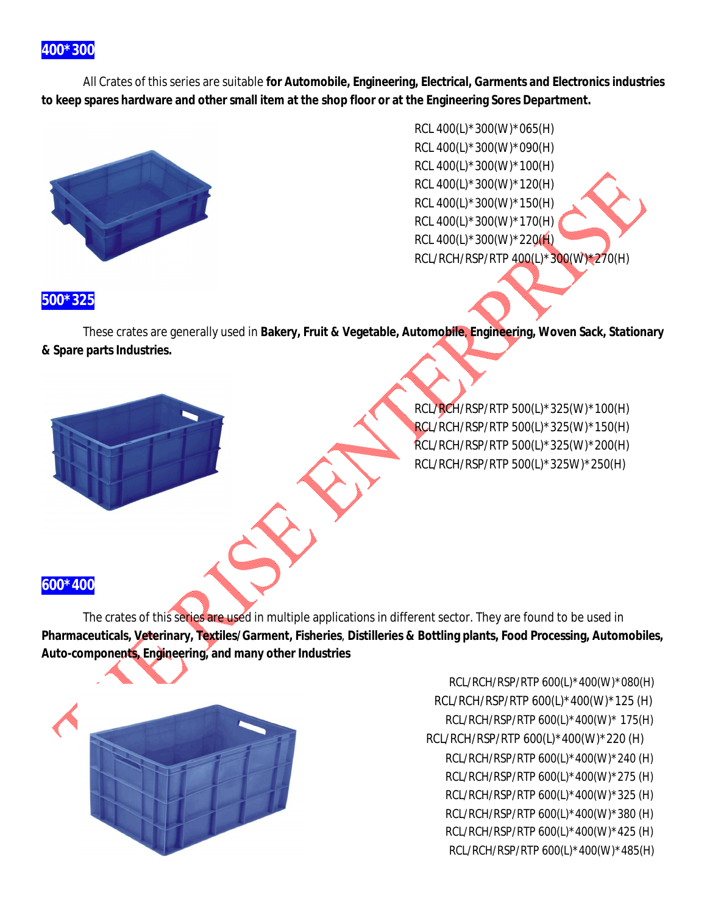All Crates of this series are suitable **for Automobile, Engineering, Electrical, Garments and Electronics industries to keep spares hardware and other small item at the shop floor or at the Engineering Sores Department.**





#### **500\*325**

These crates are generally used in **Bakery, Fruit & Vegetable, Automobile**, **Engineering, Woven Sack, Stationary & Spare parts Industries.**

> RCL/RCH/RSP/RTP 500(L)\*325(W)\*100(H) RCL/RCH/RSP/RTP 500(L)\*325(W)\*150(H) RCL/RCH/RSP/RTP 500(L)\*325(W)\*200(H) RCL/RCH/RSP/RTP 500(L)\*325W)\*250(H)

#### **600\*400**

The crates of this series are used in multiple applications in different sector. They are found to be used in **Pharmaceuticals, Veterinary, Textiles/Garment, Fisheries**, **Distilleries & Bottling plants, Food Processing, Automobiles, Auto-components, Engineering, and many other Industries**



RCL/RCH/RSP/RTP 600(L)\*400(W)\*080(H) RCL/RCH/RSP/RTP 600(L)\*400(W)\*125 (H) RCL/RCH/RSP/RTP 600(L)\*400(W)\* 175(H) RCL/RCH/RSP/RTP 600(L)\*400(W)\*220 (H) RCL/RCH/RSP/RTP 600(L)\*400(W)\*240 (H) RCL/RCH/RSP/RTP 600(L)\*400(W)\*275 (H) RCL/RCH/RSP/RTP 600(L)\*400(W)\*325 (H) RCL/RCH/RSP/RTP 600(L)\*400(W)\*380 (H) RCL/RCH/RSP/RTP 600(L)\*400(W)\*425 (H) RCL/RCH/RSP/RTP 600(L)\*400(W)\*485(H)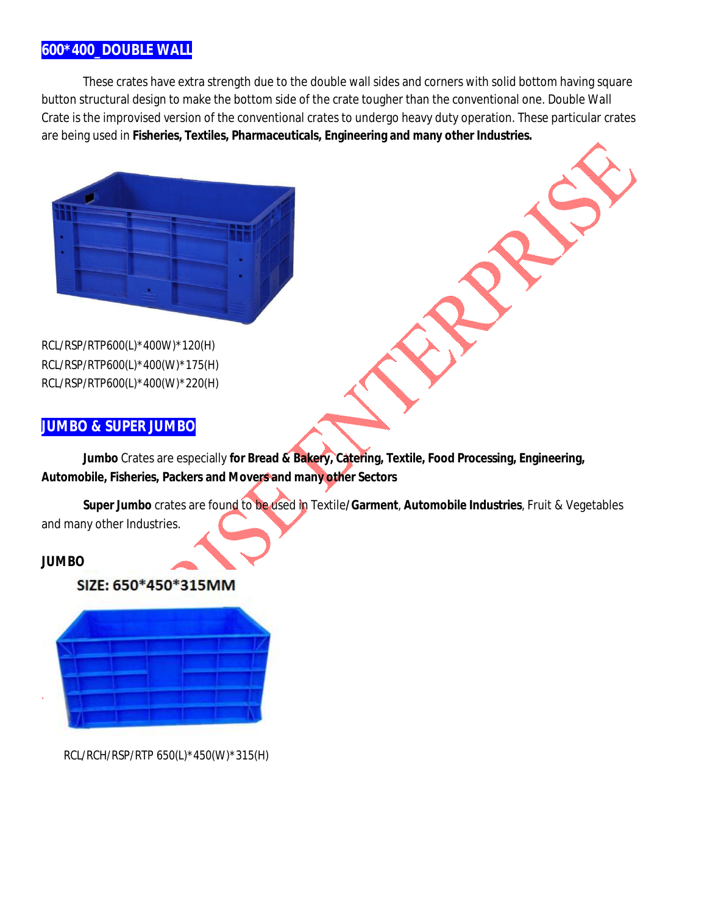### **600\*400\_DOUBLE WALL**

These crates have extra strength due to the double wall sides and corners with solid bottom having square button structural design to make the bottom side of the crate tougher than the conventional one. Double Wall Crate is the improvised version of the conventional crates to undergo heavy duty operation. These particular crates are being used in **Fisheries, Textiles, Pharmaceuticals, Engineering and many other Industries.**



RCL/RSP/RTP600(L)\*400W)\*120(H) RCL/RSP/RTP600(L)\*400(W)\*175(H) RCL/RSP/RTP600(L)\*400(W)\*220(H)

#### **JUMBO & SUPER JUMBO**

**Jumbo** Crates are especially **for Bread & Bakery, Catering, Textile, Food Processing, Engineering, Automobile, Fisheries, Packers and Movers and many other Sectors**

**Super Jumbo** crates are found to be used in Textile**/Garment**, **Automobile Industries**, Fruit & Vegetables and many other Industries.

#### **JUMBO**

#### SIZE: 650\*450\*315MM



RCL/RCH/RSP/RTP 650(L)\*450(W)\*315(H)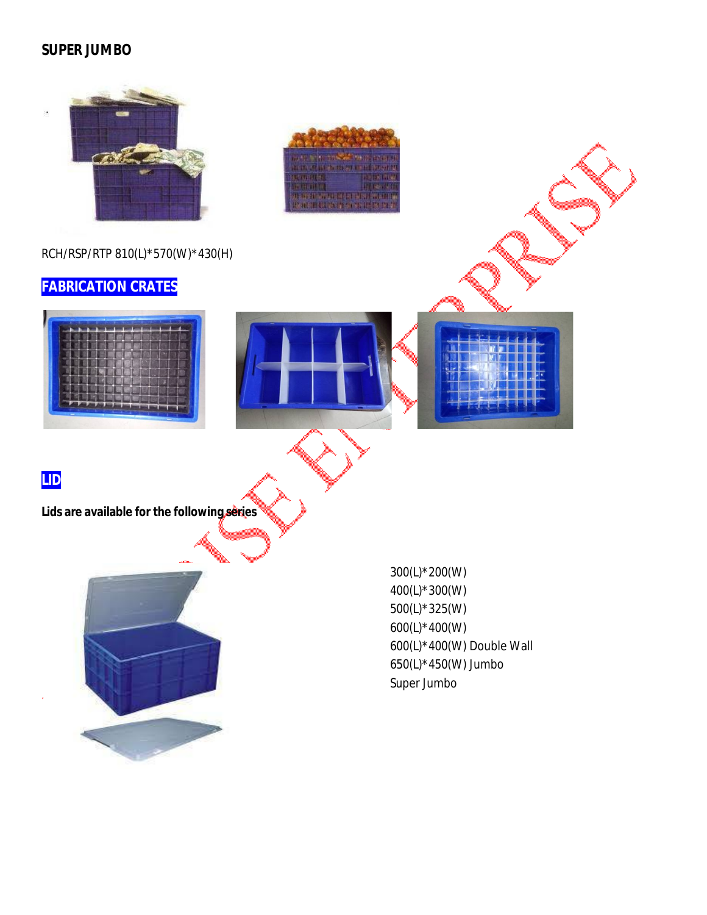#### **SUPER JUMBO**

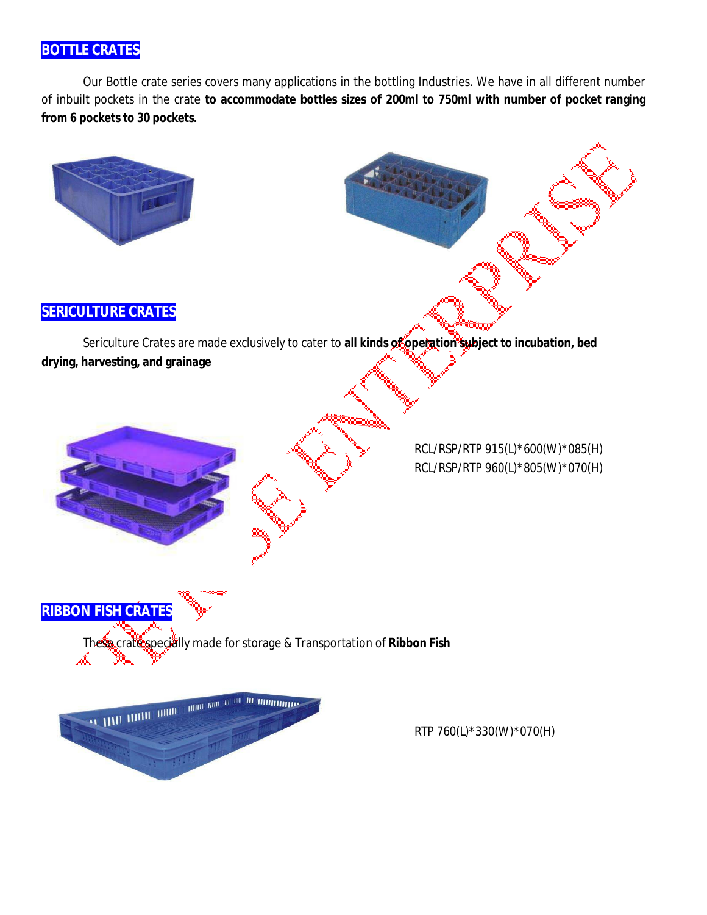## **BOTTLE CRATES**

Our Bottle crate series covers many applications in the bottling Industries. We have in all different number of inbuilt pockets in the crate **to accommodate bottles sizes of 200ml to 750ml with number of pocket ranging from 6 pockets to 30 pockets.**



### **SERICULTURE CRATES**

**RIBBON FISH CRATES**

Sericulture Crates are made exclusively to cater to **all kinds of operation subject to incubation, bed drying, harvesting, and grainage**

> RCL/RSP/RTP 915(L)\*600(W)\*085(H) RCL/RSP/RTP 960(L)\*805(W)\*070(H)



These crate specially made for storage & Transportation of **Ribbon Fish**

RTP 760(L)\*330(W)\*070(H)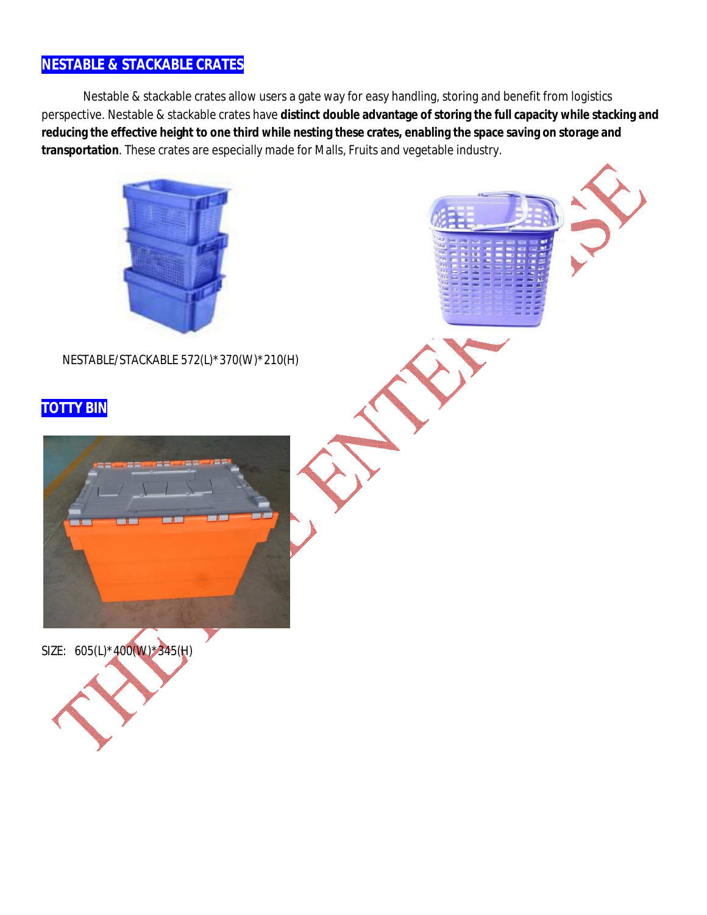### **NESTABLE & STACKABLE CRATES**

Nestable & stackable crates allow users a gate way for easy handling, storing and benefit from logistics perspective. Nestable & stackable crates have **distinct double advantage of storing the full capacity while stacking and reducing the effective height to one third while nesting these crates, enabling the space saving on storage and transportation**. These crates are especially made for Malls, Fruits and vegetable industry.



NESTABLE/STACKABLE 572(L)\*370(W)\*210(H)

## **TOTTY BIN:**



SIZE: 605(L)\*400(W)\*345(H)

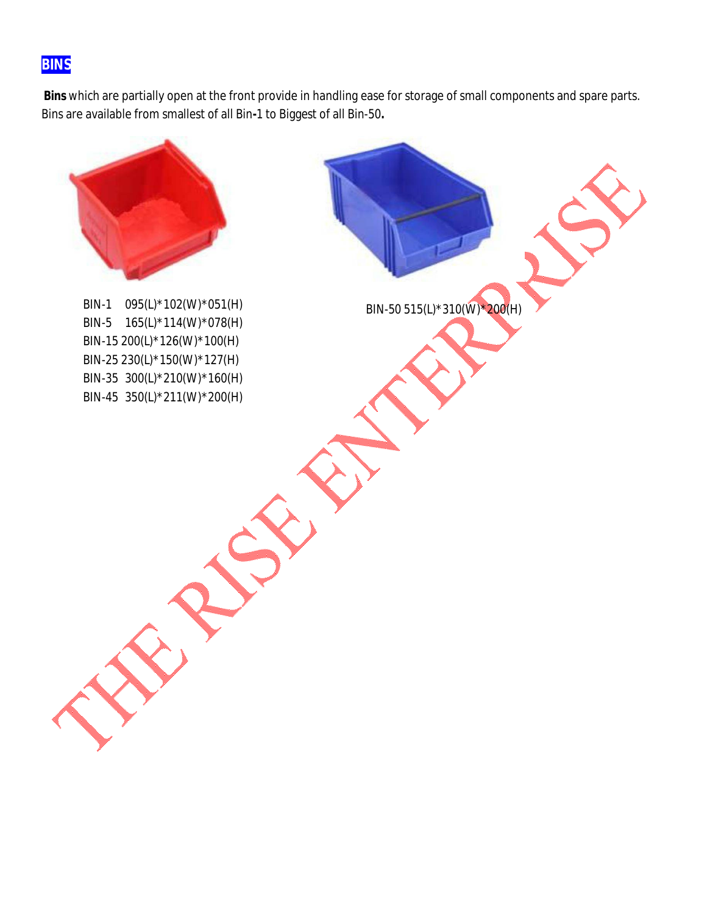## **BINS**

**Bins** which are partially open at the front provide in handling ease for storage of small components and spare parts. Bins are available from smallest of all Bin**-**1 to Biggest of all Bin-50**.**



BIN-1 095(L)\*102(W)\*051(H) BIN-50 515(L)\*310(W)\*200(H) BIN-5 165(L)\*114(W)\*078(H) BIN-15 200(L)\*126(W)\*100(H) BIN-25 230(L)\*150(W)\*127(H) BIN-35 300(L)\*210(W)\*160(H) BIN-45 350(L)\*211(W)\*200(H)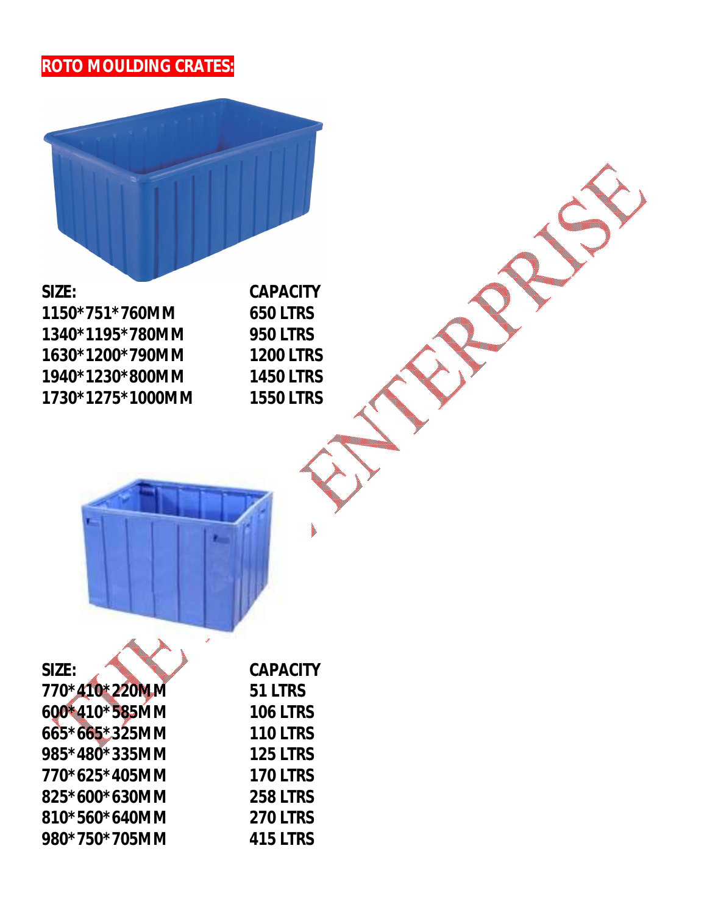

**SIZE: CAPACITY 1150\*751\*760MM 650 LTRS 1340\*1195\*780MM 950 LTRS 1630\*1200\*790MM 1200 LTRS 1940\*1230\*800MM 1450 LTRS 1730\*1275\*1000MM 1550 LTRS**